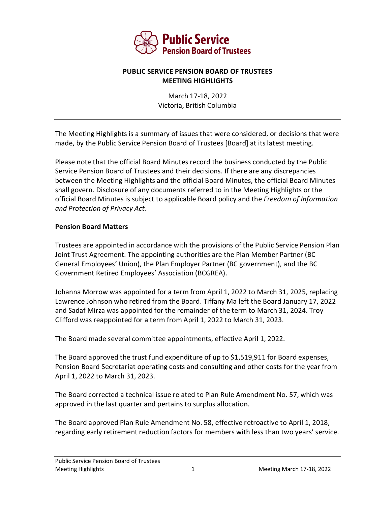

## **PUBLIC SERVICE PENSION BOARD OF TRUSTEES MEETING HIGHLIGHTS**

March 17-18, 2022 Victoria, British Columbia

The Meeting Highlights is a summary of issues that were considered, or decisions that were made, by the Public Service Pension Board of Trustees [Board] at its latest meeting.

Please note that the official Board Minutes record the business conducted by the Public Service Pension Board of Trustees and their decisions. If there are any discrepancies between the Meeting Highlights and the official Board Minutes, the official Board Minutes shall govern. Disclosure of any documents referred to in the Meeting Highlights or the official Board Minutes is subject to applicable Board policy and the *Freedom of Information and Protection of Privacy Act.*

## **Pension Board Matters**

Trustees are appointed in accordance with the provisions of the Public Service Pension Plan Joint Trust Agreement. The appointing authorities are the Plan Member Partner (BC General Employees' Union), the Plan Employer Partner (BC government), and the BC Government Retired Employees' Association (BCGREA).

Johanna Morrow was appointed for a term from April 1, 2022 to March 31, 2025, replacing Lawrence Johnson who retired from the Board. Tiffany Ma left the Board January 17, 2022 and Sadaf Mirza was appointed for the remainder of the term to March 31, 2024. Troy Clifford was reappointed for a term from April 1, 2022 to March 31, 2023.

The Board made several committee appointments, effective April 1, 2022.

The Board approved the trust fund expenditure of up to \$1,519,911 for Board expenses, Pension Board Secretariat operating costs and consulting and other costs for the year from April 1, 2022 to March 31, 2023.

The Board corrected a technical issue related to Plan Rule Amendment No. 57, which was approved in the last quarter and pertains to surplus allocation.

The Board approved Plan Rule Amendment No. 58, effective retroactive to April 1, 2018, regarding early retirement reduction factors for members with less than two years' service.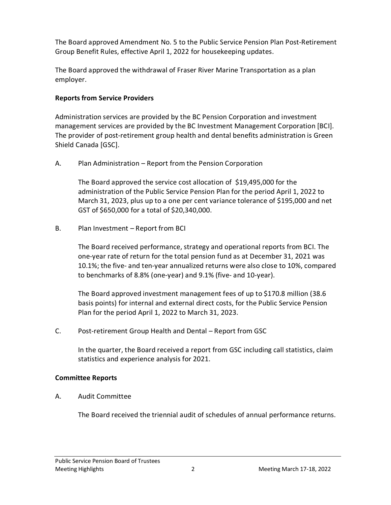The Board approved Amendment No. 5 to the Public Service Pension Plan Post-Retirement Group Benefit Rules, effective April 1, 2022 for housekeeping updates.

The Board approved the withdrawal of Fraser River Marine Transportation as a plan employer.

# **Reports from Service Providers**

Administration services are provided by the BC Pension Corporation and investment management services are provided by the BC Investment Management Corporation [BCI]. The provider of post-retirement group health and dental benefits administration is Green Shield Canada [GSC].

A. Plan Administration – Report from the Pension Corporation

The Board approved the service cost allocation of \$19,495,000 for the administration of the Public Service Pension Plan for the period April 1, 2022 to March 31, 2023, plus up to a one per cent variance tolerance of \$195,000 and net GST of \$650,000 for a total of \$20,340,000.

B. Plan Investment – Report from BCI

The Board received performance, strategy and operational reports from BCI. The one-year rate of return for the total pension fund as at December 31, 2021 was 10.1%; the five- and ten-year annualized returns were also close to 10%, compared to benchmarks of 8.8% (one-year) and 9.1% (five- and 10-year).

The Board approved investment management fees of up to \$170.8 million (38.6 basis points) for internal and external direct costs, for the Public Service Pension Plan for the period April 1, 2022 to March 31, 2023.

C. Post-retirement Group Health and Dental – Report from GSC

In the quarter, the Board received a report from GSC including call statistics, claim statistics and experience analysis for 2021.

# **Committee Reports**

A. Audit Committee

The Board received the triennial audit of schedules of annual performance returns.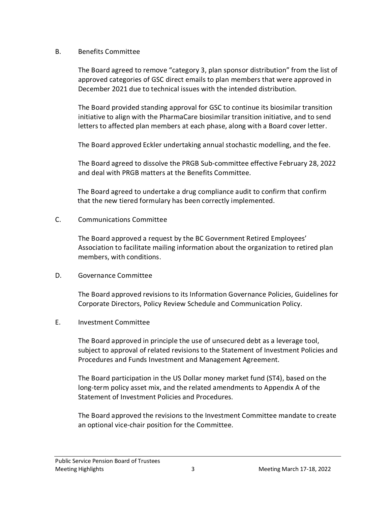#### B. Benefits Committee

The Board agreed to remove "category 3, plan sponsor distribution" from the list of approved categories of GSC direct emails to plan members that were approved in December 2021 due to technical issues with the intended distribution.

The Board provided standing approval for GSC to continue its biosimilar transition initiative to align with the PharmaCare biosimilar transition initiative, and to send letters to affected plan members at each phase, along with a Board cover letter.

The Board approved Eckler undertaking annual stochastic modelling, and the fee.

The Board agreed to dissolve the PRGB Sub-committee effective February 28, 2022 and deal with PRGB matters at the Benefits Committee.

The Board agreed to undertake a drug compliance audit to confirm that confirm that the new tiered formulary has been correctly implemented.

## C. Communications Committee

The Board approved a request by the BC Government Retired Employees' Association to facilitate mailing information about the organization to retired plan members, with conditions.

# D. Governance Committee

The Board approved revisions to its Information Governance Policies, Guidelines for Corporate Directors, Policy Review Schedule and Communication Policy.

# E. Investment Committee

The Board approved in principle the use of unsecured debt as a leverage tool, subject to approval of related revisions to the Statement of Investment Policies and Procedures and Funds Investment and Management Agreement.

The Board participation in the US Dollar money market fund (ST4), based on the long-term policy asset mix, and the related amendments to Appendix A of the Statement of Investment Policies and Procedures.

The Board approved the revisions to the Investment Committee mandate to create an optional vice-chair position for the Committee.